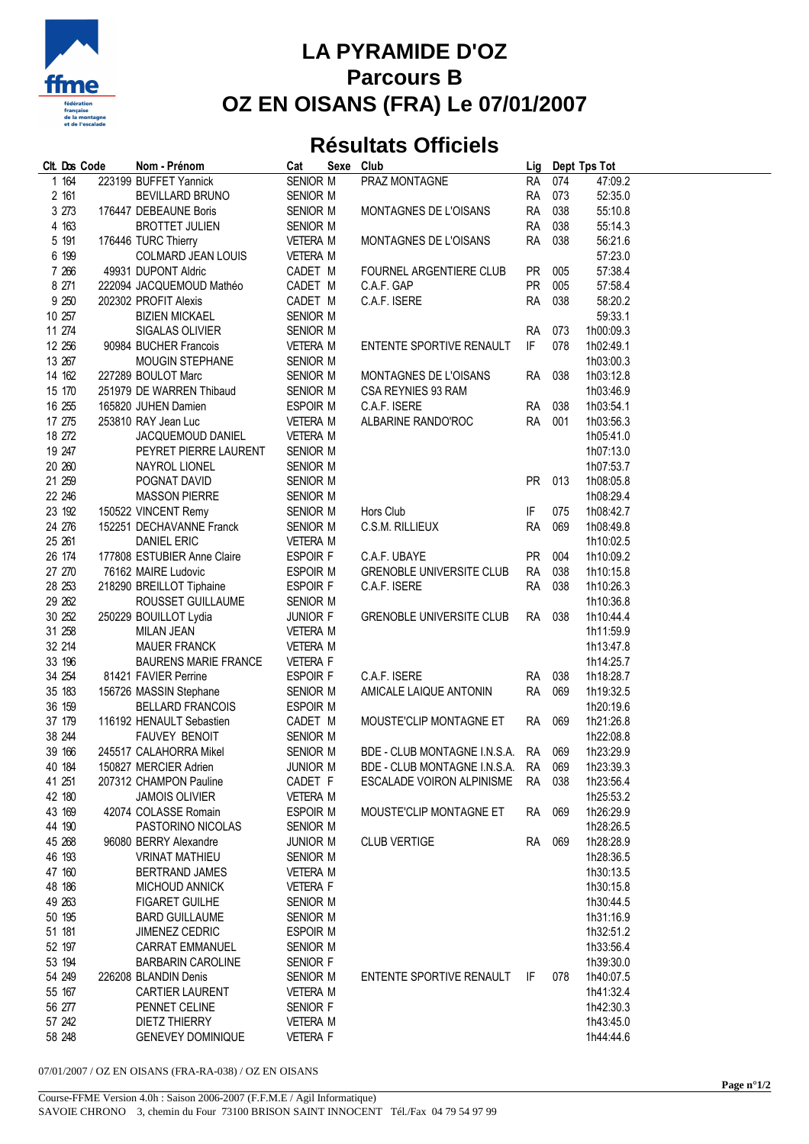

## **LA PYRAMIDE D'OZ Parcours B OZ EN OISANS (FRA) Le 07/01/2007**

## **Résultats Officiels**

| Clt. Dos Code | Nom - Prénom                | Cat             | Sexe Club |                                     |           |     | Lig Dept Tps Tot |
|---------------|-----------------------------|-----------------|-----------|-------------------------------------|-----------|-----|------------------|
| 1 164         | 223199 BUFFET Yannick       | SENIOR M        |           | PRAZ MONTAGNE                       | <b>RA</b> | 074 | 47:09.2          |
| 2 161         | BEVILLARD BRUNO             | SENIOR M        |           |                                     | <b>RA</b> | 073 | 52:35.0          |
| 3 273         | 176447 DEBEAUNE Boris       | SENIOR M        |           | MONTAGNES DE L'OISANS               | <b>RA</b> | 038 | 55:10.8          |
| 4 163         | <b>BROTTET JULIEN</b>       | SENIOR M        |           |                                     | RA        | 038 | 55:14.3          |
| 5 191         | 176446 TURC Thierry         | <b>VETERA M</b> |           | MONTAGNES DE L'OISANS               | <b>RA</b> | 038 | 56:21.6          |
| 6 199         | COLMARD JEAN LOUIS          | <b>VETERA M</b> |           |                                     |           |     | 57:23.0          |
| 7 266         | 49931 DUPONT Aldric         | CADET M         |           | FOURNEL ARGENTIERE CLUB             | <b>PR</b> | 005 | 57:38.4          |
| 8 271         | 222094 JACQUEMOUD Mathéo    | CADET M         |           | C.A.F. GAP                          | <b>PR</b> | 005 | 57:58.4          |
| 9 250         | 202302 PROFIT Alexis        | CADET M         |           | C.A.F. ISERE                        | <b>RA</b> | 038 | 58:20.2          |
| 10 257        | <b>BIZIEN MICKAEL</b>       | SENIOR M        |           |                                     |           |     | 59:33.1          |
| 11 274        | SIGALAS OLIVIER             | SENIOR M        |           |                                     | <b>RA</b> | 073 | 1h00:09.3        |
| 12 25 6       | 90984 BUCHER Francois       | <b>VETERA M</b> |           | ENTENTE SPORTIVE RENAULT            | IF        | 078 | 1h02:49.1        |
| 13 267        | <b>MOUGIN STEPHANE</b>      | SENIOR M        |           |                                     |           |     | 1h03:00.3        |
| 14 162        | 227289 BOULOT Marc          | SENIOR M        |           | MONTAGNES DE L'OISANS               | <b>RA</b> | 038 | 1h03:12.8        |
| 15 170        | 251979 DE WARREN Thibaud    | SENIOR M        |           | CSA REYNIES 93 RAM                  |           |     | 1h03:46.9        |
| 16 255        | 165820 JUHEN Damien         | ESPOIR M        |           | C.A.F. ISERE                        | <b>RA</b> | 038 | 1h03:54.1        |
| 17 275        | 253810 RAY Jean Luc         | <b>VETERA M</b> |           | ALBARINE RANDO'ROC                  | <b>RA</b> | 001 | 1h03:56.3        |
| 18 272        | JACQUEMOUD DANIEL           | <b>VETERA M</b> |           |                                     |           |     | 1h05:41.0        |
| 19 247        | PEYRET PIERRE LAURENT       | SENIOR M        |           |                                     |           |     | 1h07:13.0        |
| 20 260        | NAYROL LIONEL               | SENIOR M        |           |                                     |           |     | 1h07:53.7        |
| 21 259        | POGNAT DAVID                | SENIOR M        |           |                                     | <b>PR</b> | 013 | 1h08:05.8        |
| 22 246        | <b>MASSON PIERRE</b>        | SENIOR M        |           |                                     |           |     | 1h08:29.4        |
| 23 192        | 150522 VINCENT Remy         | SENIOR M        |           | Hors Club                           | IF        | 075 | 1h08:42.7        |
| 24 276        | 152251 DECHAVANNE Franck    | SENIOR M        |           | C.S.M. RILLIEUX                     | RA        | 069 | 1h08:49.8        |
| 25 261        | <b>DANIEL ERIC</b>          | <b>VETERA M</b> |           |                                     |           |     | 1h10:02.5        |
| 26 174        | 177808 ESTUBIER Anne Claire | ESPOIR F        |           | C.A.F. UBAYE                        | <b>PR</b> | 004 | 1h10:09.2        |
| 27 270        | 76162 MAIRE Ludovic         | ESPOIR M        |           | <b>GRENOBLE UNIVERSITE CLUB</b>     | RA        | 038 | 1h10:15.8        |
| 28 253        | 218290 BREILLOT Tiphaine    | ESPOIR F        |           | C.A.F. ISERE                        | <b>RA</b> | 038 | 1h10:26.3        |
| 29 262        | ROUSSET GUILLAUME           | SENIOR M        |           |                                     |           |     | 1h10:36.8        |
| 30 252        | 250229 BOUILLOT Lydia       | <b>JUNIOR F</b> |           | <b>GRENOBLE UNIVERSITE CLUB</b>     | RA 038    |     | 1h10:44.4        |
| 31 258        | <b>MILAN JEAN</b>           | <b>VETERA M</b> |           |                                     |           |     | 1h11:59.9        |
| 32 214        | <b>MAUER FRANCK</b>         | <b>VETERA M</b> |           |                                     |           |     | 1h13:47.8        |
| 33 196        | <b>BAURENS MARIE FRANCE</b> | <b>VETERA F</b> |           |                                     |           |     | 1h14:25.7        |
| 34 254        | 81421 FAVIER Perrine        | ESPOIR F        |           | C.A.F. ISERE                        | <b>RA</b> | 038 | 1h18:28.7        |
| 35 183        | 156726 MASSIN Stephane      | SENIOR M        |           | AMICALE LAIQUE ANTONIN              | <b>RA</b> | 069 | 1h19:32.5        |
| 36 159        | <b>BELLARD FRANCOIS</b>     | ESPOIR M        |           |                                     |           |     | 1h20:19.6        |
| 37 179        | 116192 HENAULT Sebastien    | CADET M         |           | MOUSTE'CLIP MONTAGNE ET             | <b>RA</b> | 069 | 1h21:26.8        |
| 38 244        | <b>FAUVEY BENOIT</b>        | SENIOR M        |           |                                     |           |     | 1h22:08.8        |
| 39 166        | 245517 CALAHORRA Mikel      | SENIOR M        |           | BDE - CLUB MONTAGNE I.N.S.A. RA     |           | 069 | 1h23:29.9        |
| 40 184        | 150827 MERCIER Adrien       | <b>JUNIOR M</b> |           | BDE - CLUB MONTAGNE I.N.S.A. RA 069 |           |     | 1h23:39.3        |
| 41 251        | 207312 CHAMPON Pauline      | CADET F         |           | ESCALADE VOIRON ALPINISME RA 038    |           |     | 1h23:56.4        |
| 42 180        | <b>JAMOIS OLIVIER</b>       | <b>VETERA M</b> |           |                                     |           |     | 1h25:53.2        |
| 43 169        | 42074 COLASSE Romain        | ESPOIR M        |           | MOUSTE'CLIP MONTAGNE ET             | RA 069    |     | 1h26:29.9        |
| 44 190        | PASTORINO NICOLAS           | SENIOR M        |           |                                     |           |     | 1h28:26.5        |
| 45 268        | 96080 BERRY Alexandre       | <b>JUNIOR M</b> |           | <b>CLUB VERTIGE</b>                 | RA        | 069 | 1h28:28.9        |
| 46 193        | <b>VRINAT MATHIEU</b>       | SENIOR M        |           |                                     |           |     | 1h28:36.5        |
| 47 160        | <b>BERTRAND JAMES</b>       | <b>VETERA M</b> |           |                                     |           |     | 1h30:13.5        |
| 48 186        | <b>MICHOUD ANNICK</b>       | <b>VETERA F</b> |           |                                     |           |     | 1h30:15.8        |
| 49 263        | <b>FIGARET GUILHE</b>       | SENIOR M        |           |                                     |           |     | 1h30:44.5        |
| 50 195        | <b>BARD GUILLAUME</b>       | SENIOR M        |           |                                     |           |     | 1h31:16.9        |
| 51 181        | <b>JIMENEZ CEDRIC</b>       | ESPOIR M        |           |                                     |           |     | 1h32:51.2        |
| 52 197        | <b>CARRAT EMMANUEL</b>      | SENIOR M        |           |                                     |           |     | 1h33:56.4        |
| 53 194        | <b>BARBARIN CAROLINE</b>    | SENIOR F        |           |                                     |           |     | 1h39:30.0        |
| 54 249        | 226208 BLANDIN Denis        | SENIOR M        |           | ENTENTE SPORTIVE RENAULT            | IF.       | 078 | 1h40:07.5        |
| 55 167        | <b>CARTIER LAURENT</b>      | <b>VETERA M</b> |           |                                     |           |     | 1h41:32.4        |
| 56 277        | PENNET CELINE               | SENIOR F        |           |                                     |           |     | 1h42:30.3        |
| 57 242        | DIETZ THIERRY               | <b>VETERA M</b> |           |                                     |           |     | 1h43:45.0        |
| 58 248        | <b>GENEVEY DOMINIQUE</b>    | <b>VETERA F</b> |           |                                     |           |     | 1h44:44.6        |
|               |                             |                 |           |                                     |           |     |                  |

07/01/2007 / OZ EN OISANS (FRA-RA-038) / OZ EN OISANS